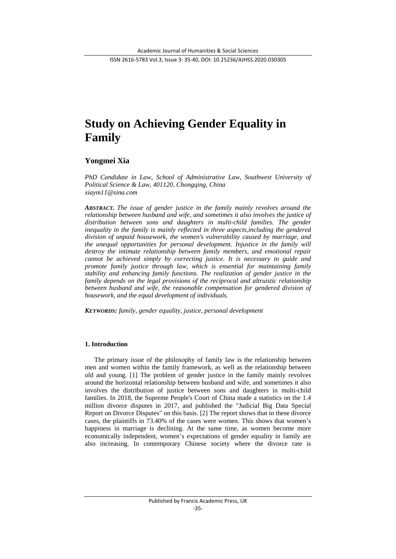# **Study on Achieving Gender Equality in Family**

# **Yongmei Xia**

*PhD Candidate in Law, School of Administrative Law, Southwest University of Political Science & Law, 401120, Chongqing, China xiaym11@sina.com*

*ABSTRACT. The issue of gender justice in the family mainly revolves around the relationship between husband and wife, and sometimes it also involves the justice of distribution between sons and daughters in multi-child families. The gender inequality in the family is mainly reflected in three aspects, including the gendered division of unpaid housework, the women's vulnerability caused by marriage, and the unequal opportunities for personal development. Injustice in the family will destroy the intimate relationship between family members, and emotional repair cannot be achieved simply by correcting justice. It is necessary to guide and promote family justice through law, which is ensential for maintaining family stability and enhancing family functions. The realization of gender justice in the family depends on the legal provisions of the reciprocal and altruistic relationship between husband and wife, the reasonable compensation for gendered division of housework, and the equal development of individuals.*

*KEYWORDS: family, gender equality, justice, personal development*

## **1. Introduction**

The primary issue of the philosophy of family law is the relationship between men and women within the family framework, as well as the relationship between old and young. [1] The problem of gender justice in the family mainly revolves around the horizontal relationship between husband and wife, and sometimes it also involves the distribution of justice between sons and daughters in multi-child families. In 2018, the Supreme People's Court of China made a statistics on the 1.4 million divorce disputes in 2017, and published the "Judicial Big Data Special Report on Divorce Disputes" on this basis. [2] The report shows that in these divorce cases, the plaintiffs in 73.40% of the cases were women. This shows that women's happiness in marriage is declining. At the same time, as women become more economically independent, women's expectations of gender equality in family are also increasing. In contemporary Chinese society where the divorce rate is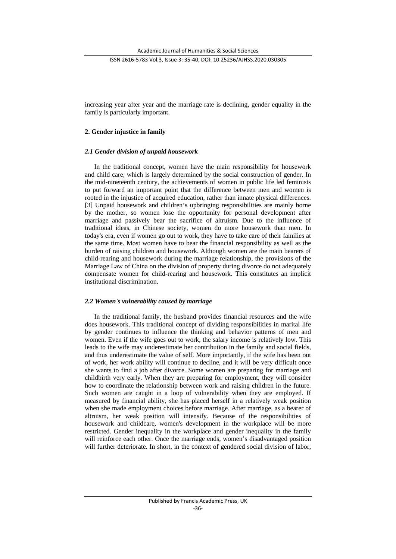increasing year after year and the marriage rate is declining, gender equality in the family is particularly important.

## **2. Gender injustice in family**

## *2.1 Gender division of unpaid housework*

In the traditional concept, women have the main responsibility for housework and child care, which is largely determined by the social construction of gender. In the mid-nineteenth century, the achievements of women in public life led feminists to put forward an important point that the difference between men and women is rooted in the injustice of acquired education, rather than innate physical differences. [3] Unpaid housework and children's upbringing responsibilities are mainly borne by the mother, so women lose the opportunity for personal development after marriage and passively bear the sacrifice of altruism. Due to the influence of traditional ideas, in Chinese society, women do more housework than men. In today's era, even if women go out to work, they have to take care of their families at the same time. Most women have to bear the financial responsibility as well as the burden of raising children and housework. Although women are the main bearers of child-rearing and housework during the marriage relationship, the provisions of the Marriage Law of China on the division of property during divorce do not adequately compensate women for child-rearing and housework. This constitutes an implicit institutional discrimination.

## *2.2 Women's vulnerability caused by marriage*

In the traditional family, the husband provides financial resources and the wife does housework. This traditional concept of dividing responsibilities in marital life by gender continues to influence the thinking and behavior patterns of men and women. Even if the wife goes out to work, the salary income is relatively low. This leads to the wife may underestimate her contribution in the family and social fields, and thus underestimate the value of self. More importantly, if the wife has been out of work, her work ability will continue to decline, and it will be very difficult once she wants to find a job after divorce. Some women are preparing for marriage and childbirth very early. When they are preparing for employment, they will consider how to coordinate the relationship between work and raising children in the future. Such women are caught in a loop of vulnerability when they are employed. If measured by financial ability, she has placed herself in a relatively weak position when she made employment choices before marriage. After marriage, as a bearer of altruism, her weak position will intensify. Because of the responsibilities of housework and childcare, women's development in the workplace will be more restricted. Gender inequality in the workplace and gender inequality in the family will reinforce each other. Once the marriage ends, women's disadvantaged position will further deteriorate. In short, in the context of gendered social division of labor,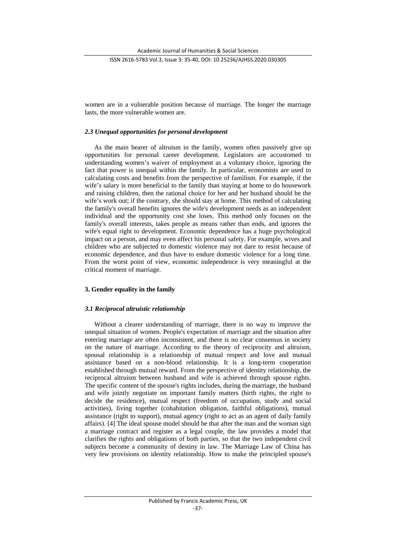women are in a vulnerable position because of marriage. The longer the marriage lasts, the more vulnerable women are.

#### *2.3 Unequal opportunities for personal development*

As the main bearer of altruism in the family, women often passively give up opportunities for personal career development. Legislators are accustomed to understanding women's waiver of employment as a voluntary choice, ignoring the fact that power is unequal within the family. In particular, economists are used to calculating costs and benefits from the perspective of familism. For example, if the wife's salary is more beneficial to the family than staying at home to do housework and raising children, then the rational choice for her and her husband should be the wife's work out; if the contrary, she should stay at home. This method of calculating the family's overall benefits ignores the wife's development needs as an independent individual and the opportunity cost she loses. This method only focuses on the family's overall interests, takes people as means rather than ends, and ignores the wife's equal right to development. Economic dependence has a huge psychological impact on a person, and may even affect his personal safety. For example, wives and children who are subjected to domestic violence may not dare to resist because of economic dependence, and thus have to endure domestic violence for a long time. From the worst point of view, economic independence is very meaningful at the critical moment of marriage.

## **3. Gender equality in the family**

#### *3.1 Reciprocal altruistic relationship*

Without a clearer understanding of marriage, there is no way to improve the unequal situation of women. People's expectation of marriage and the situation after entering marriage are often inconsistent, and there is no clear consensus in society on the nature of marriage. According to the theory of reciprocity and altruism, spousal relationship is a relationship of mutual respect and love and mutual assistance based on a non-blood relationship. It is a long-term cooperation established through mutual reward. From the perspective of identity relationship, the reciprocal altruism between husband and wife is achieved through spouse rights. The specific content of the spouse's rights includes, during the marriage, the husband and wife jointly negotiate on important family matters (birth rights, the right to decide the residence), mutual respect (freedom of occupation, study and social activities), living together (cohabitation obligation, faithful obligations), mutual assistance (right to support), mutual agency (right to act as an agent of daily family affairs). [4] The ideal spouse model should be that after the man and the woman sign a marriage contract and register as a legal couple, the law provides a model that clarifies the rights and obligations of both parties, so that the two independent civil subjects become a community of destiny in law. The Marriage Law of China has very few provisions on identity relationship. How to make the principled spouse's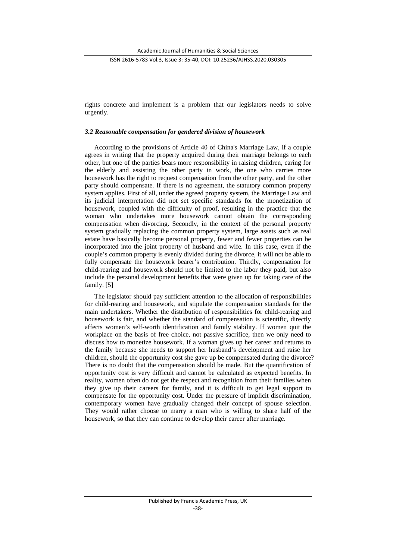rights concrete and implement is a problem that our legislators needs to solve urgently.

## *3.2 Reasonable compensation for gendered division of housework*

According to the provisions of Article 40 of China's Marriage Law, if a couple agrees in writing that the property acquired during their marriage belongs to each other, but one of the parties bears more responsibility in raising children, caring for the elderly and assisting the other party in work, the one who carries more housework has the right to request compensation from the other party, and the other party should compensate. If there is no agreement, the statutory common property system applies. First of all, under the agreed property system, the Marriage Law and its judicial interpretation did not set specific standards for the monetization of housework, coupled with the difficulty of proof, resulting in the practice that the woman who undertakes more housework cannot obtain the corresponding compensation when divorcing. Secondly, in the context of the personal property system gradually replacing the common property system, large assets such as real estate have basically become personal property, fewer and fewer properties can be incorporated into the joint property of husband and wife. In this case, even if the couple's common property is evenly divided during the divorce, it will not be able to fully compensate the housework bearer's contribution. Thirdly, compensation for child-rearing and housework should not be limited to the labor they paid, but also include the personal development benefits that were given up for taking care of the family. [5]

The legislator should pay sufficient attention to the allocation of responsibilities for child-rearing and housework, and stipulate the compensation standards for the main undertakers. Whether the distribution of responsibilities for child-rearing and housework is fair, and whether the standard of compensation is scientific, directly affects women's self-worth identification and family stability. If women quit the workplace on the basis of free choice, not passive sacrifice, then we only need to discuss how to monetize housework. If a woman gives up her career and returns to the family because she needs to support her husband's development and raise her children, should the opportunity cost she gave up be compensated during the divorce? There is no doubt that the compensation should be made. But the quantification of opportunity cost is very difficult and cannot be calculated as expected benefits. In reality, women often do not get the respect and recognition from their families when they give up their careers for family, and it is difficult to get legal support to compensate for the opportunity cost. Under the pressure of implicit discrimination, contemporary women have gradually changed their concept of spouse selection. They would rather choose to marry a man who is willing to share half of the housework, so that they can continue to develop their career after marriage.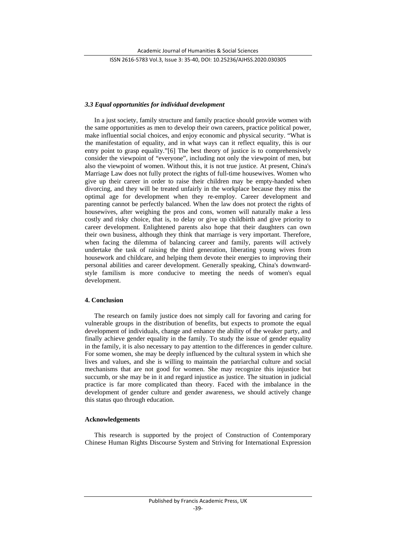## *3.3 Equal opportunities for individual development*

In a just society, family structure and family practice should provide women with the same opportunities as men to develop their own careers, practice political power, make influential social choices, and enjoy economic and physical security. "What is the manifestation of equality, and in what ways can it reflect equality, this is our entry point to grasp equality."[6] The best theory of justice is to comprehensively consider the viewpoint of "everyone", including not only the viewpoint of men, but also the viewpoint of women. Without this, it is not true justice. At present, China's Marriage Law does not fully protect the rights of full-time housewives. Women who give up their career in order to raise their children may be empty-handed when divorcing, and they will be treated unfairly in the workplace because they miss the optimal age for development when they re-employ. Career development and parenting cannot be perfectly balanced. When the law does not protect the rights of housewives, after weighing the pros and cons, women will naturally make a less costly and risky choice, that is, to delay or give up childbirth and give priority to career development. Enlightened parents also hope that their daughters can own their own business, although they think that marriage is very important. Therefore, when facing the dilemma of balancing career and family, parents will actively undertake the task of raising the third generation, liberating young wives from housework and childcare, and helping them devote their energies to improving their personal abilities and career development. Generally speaking, China's downwardstyle familism is more conducive to meeting the needs of women's equal development.

# **4. Conclusion**

The research on family justice does not simply call for favoring and caring for vulnerable groups in the distribution of benefits, but expects to promote the equal development of individuals, change and enhance the ability of the weaker party, and finally achieve gender equality in the family. To study the issue of gender equality in the family, it is also necessary to pay attention to the differences in gender culture. For some women, she may be deeply influenced by the cultural system in which she lives and values, and she is willing to maintain the patriarchal culture and social mechanisms that are not good for women. She may recognize this injustice but succumb, or she may be in it and regard injustice as justice. The situation in judicial practice is far more complicated than theory. Faced with the imbalance in the development of gender culture and gender awareness, we should actively change this status quo through education.

#### **Acknowledgements**

This research is supported by the project of Construction of Contemporary Chinese Human Rights Discourse System and Striving for International Expression